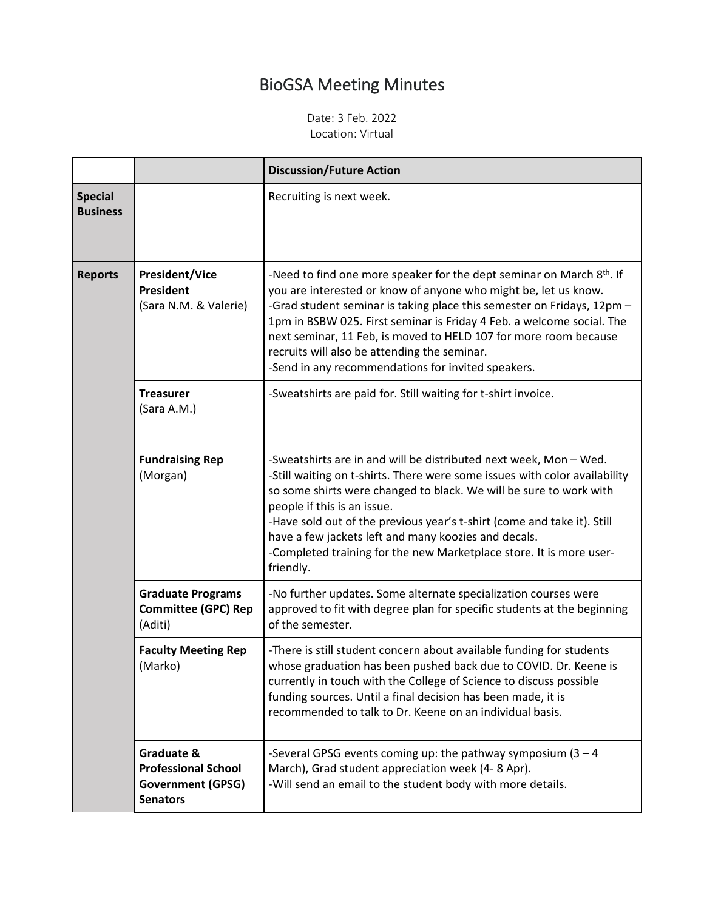## BioGSA Meeting Minutes

Date: 3 Feb. 2022 Location: Virtual

|                                   |                                                                                         | <b>Discussion/Future Action</b>                                                                                                                                                                                                                                                                                                                                                                                                                                             |
|-----------------------------------|-----------------------------------------------------------------------------------------|-----------------------------------------------------------------------------------------------------------------------------------------------------------------------------------------------------------------------------------------------------------------------------------------------------------------------------------------------------------------------------------------------------------------------------------------------------------------------------|
| <b>Special</b><br><b>Business</b> |                                                                                         | Recruiting is next week.                                                                                                                                                                                                                                                                                                                                                                                                                                                    |
| <b>Reports</b>                    | <b>President/Vice</b><br><b>President</b><br>(Sara N.M. & Valerie)                      | -Need to find one more speaker for the dept seminar on March 8th. If<br>you are interested or know of anyone who might be, let us know.<br>-Grad student seminar is taking place this semester on Fridays, 12pm -<br>1pm in BSBW 025. First seminar is Friday 4 Feb. a welcome social. The<br>next seminar, 11 Feb, is moved to HELD 107 for more room because<br>recruits will also be attending the seminar.<br>-Send in any recommendations for invited speakers.        |
|                                   | <b>Treasurer</b><br>(Sara A.M.)                                                         | -Sweatshirts are paid for. Still waiting for t-shirt invoice.                                                                                                                                                                                                                                                                                                                                                                                                               |
|                                   | <b>Fundraising Rep</b><br>(Morgan)                                                      | -Sweatshirts are in and will be distributed next week, Mon - Wed.<br>-Still waiting on t-shirts. There were some issues with color availability<br>so some shirts were changed to black. We will be sure to work with<br>people if this is an issue.<br>-Have sold out of the previous year's t-shirt (come and take it). Still<br>have a few jackets left and many koozies and decals.<br>-Completed training for the new Marketplace store. It is more user-<br>friendly. |
|                                   | <b>Graduate Programs</b><br><b>Committee (GPC) Rep</b><br>(Aditi)                       | -No further updates. Some alternate specialization courses were<br>approved to fit with degree plan for specific students at the beginning<br>of the semester.                                                                                                                                                                                                                                                                                                              |
|                                   | <b>Faculty Meeting Rep</b><br>(Marko)                                                   | -There is still student concern about available funding for students<br>whose graduation has been pushed back due to COVID. Dr. Keene is<br>currently in touch with the College of Science to discuss possible<br>funding sources. Until a final decision has been made, it is<br>recommended to talk to Dr. Keene on an individual basis.                                                                                                                                  |
|                                   | Graduate &<br><b>Professional School</b><br><b>Government (GPSG)</b><br><b>Senators</b> | -Several GPSG events coming up: the pathway symposium $(3 - 4)$<br>March), Grad student appreciation week (4-8 Apr).<br>-Will send an email to the student body with more details.                                                                                                                                                                                                                                                                                          |